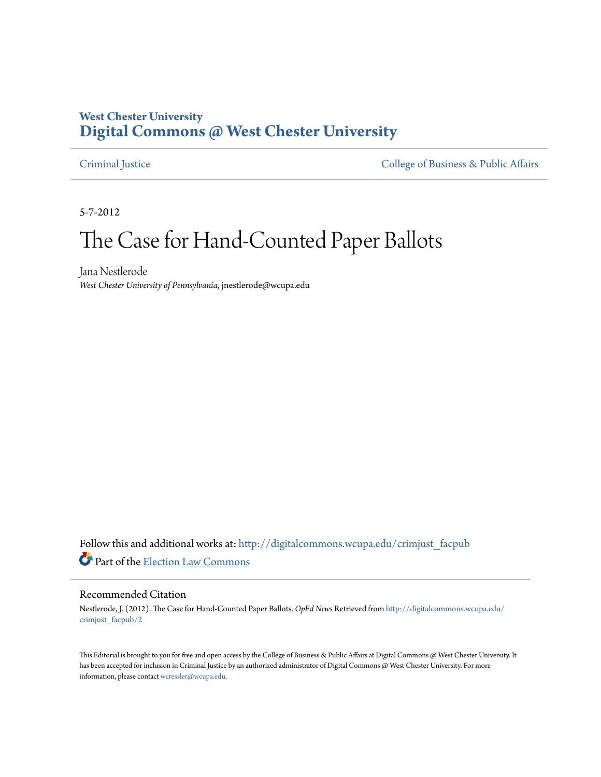## **West Chester University [Digital Commons @ West Chester University](http://digitalcommons.wcupa.edu?utm_source=digitalcommons.wcupa.edu%2Fcrimjust_facpub%2F2&utm_medium=PDF&utm_campaign=PDFCoverPages)**

[Criminal Justice](http://digitalcommons.wcupa.edu/crimjust_facpub?utm_source=digitalcommons.wcupa.edu%2Fcrimjust_facpub%2F2&utm_medium=PDF&utm_campaign=PDFCoverPages) [College of Business & Public Affairs](http://digitalcommons.wcupa.edu/cbpa?utm_source=digitalcommons.wcupa.edu%2Fcrimjust_facpub%2F2&utm_medium=PDF&utm_campaign=PDFCoverPages)

5-7-2012

# The Case for Hand-Counted Paper Ballots

Jana Nestlerode *West Chester University of Pennsylvania*, jnestlerode@wcupa.edu

Follow this and additional works at: [http://digitalcommons.wcupa.edu/crimjust\\_facpub](http://digitalcommons.wcupa.edu/crimjust_facpub?utm_source=digitalcommons.wcupa.edu%2Fcrimjust_facpub%2F2&utm_medium=PDF&utm_campaign=PDFCoverPages) Part of the [Election Law Commons](http://network.bepress.com/hgg/discipline/1121?utm_source=digitalcommons.wcupa.edu%2Fcrimjust_facpub%2F2&utm_medium=PDF&utm_campaign=PDFCoverPages)

#### Recommended Citation

Nestlerode, J. (2012). The Case for Hand-Counted Paper Ballots. *OpEd News* Retrieved from [http://digitalcommons.wcupa.edu/](http://digitalcommons.wcupa.edu/crimjust_facpub/2?utm_source=digitalcommons.wcupa.edu%2Fcrimjust_facpub%2F2&utm_medium=PDF&utm_campaign=PDFCoverPages) [crimjust\\_facpub/2](http://digitalcommons.wcupa.edu/crimjust_facpub/2?utm_source=digitalcommons.wcupa.edu%2Fcrimjust_facpub%2F2&utm_medium=PDF&utm_campaign=PDFCoverPages)

This Editorial is brought to you for free and open access by the College of Business & Public Affairs at Digital Commons @ West Chester University. It has been accepted for inclusion in Criminal Justice by an authorized administrator of Digital Commons @ West Chester University. For more information, please contact [wcressler@wcupa.edu.](mailto:wcressler@wcupa.edu)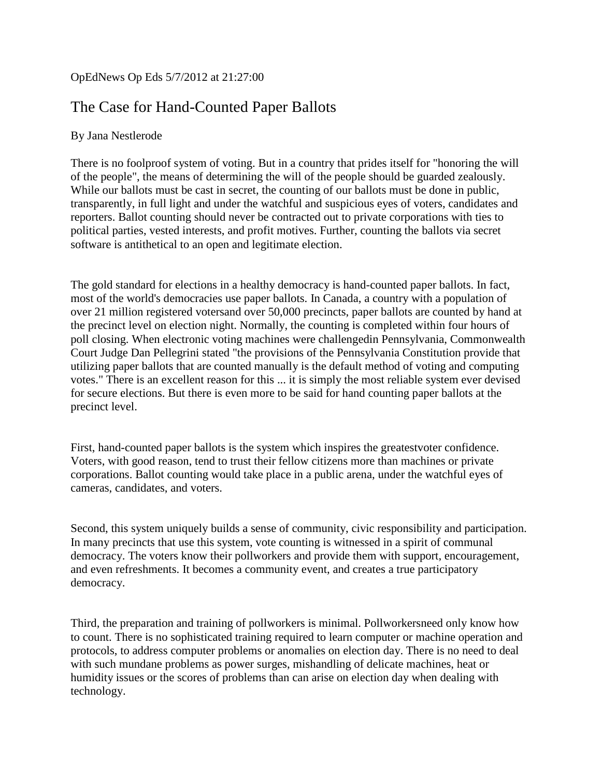#### OpEdNews Op Eds 5/7/2012 at 21:27:00

# The Case for Hand-Counted Paper Ballots

#### By Jana Nestlerode

There is no foolproof system of voting. But in a country that prides itself for "honoring the will of the people", the means of determining the will of the people should be guarded zealously. While our ballots must be cast in secret, the counting of our ballots must be done in public, transparently, in full light and under the watchful and suspicious eyes of voters, candidates and reporters. Ballot counting should never be contracted out to private corporations with ties to political parties, vested interests, and profit motives. Further, counting the ballots via secret software is antithetical to an open and legitimate election.

The gold standard for elections in a healthy democracy is hand-counted paper ballots. In fact, most of the world's democracies use paper ballots. In Canada, a country with a population of over 21 million registered votersand over 50,000 precincts, paper ballots are counted by hand at the precinct level on election night. Normally, the counting is completed within four hours of poll closing. When electronic voting machines were challengedin Pennsylvania, Commonwealth Court Judge Dan Pellegrini stated "the provisions of the Pennsylvania Constitution provide that utilizing paper ballots that are counted manually is the default method of voting and computing votes." There is an excellent reason for this ... it is simply the most reliable system ever devised for secure elections. But there is even more to be said for hand counting paper ballots at the precinct level.

First, hand-counted paper ballots is the system which inspires the greatestvoter confidence. Voters, with good reason, tend to trust their fellow citizens more than machines or private corporations. Ballot counting would take place in a public arena, under the watchful eyes of cameras, candidates, and voters.

Second, this system uniquely builds a sense of community, civic responsibility and participation. In many precincts that use this system, vote counting is witnessed in a spirit of communal democracy. The voters know their pollworkers and provide them with support, encouragement, and even refreshments. It becomes a community event, and creates a true participatory democracy.

Third, the preparation and training of pollworkers is minimal. Pollworkersneed only know how to count. There is no sophisticated training required to learn computer or machine operation and protocols, to address computer problems or anomalies on election day. There is no need to deal with such mundane problems as power surges, mishandling of delicate machines, heat or humidity issues or the scores of problems than can arise on election day when dealing with technology.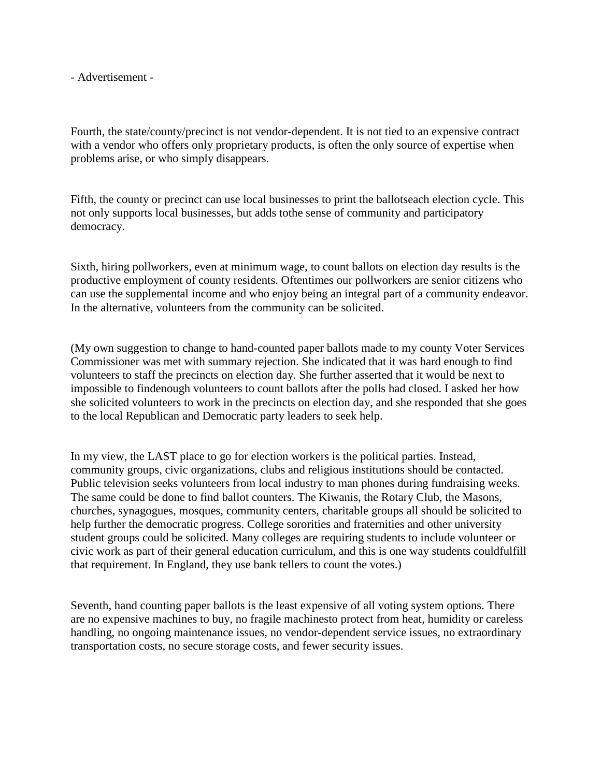- Advertisement -

Fourth, the state/county/precinct is not vendor-dependent. It is not tied to an expensive contract with a vendor who offers only proprietary products, is often the only source of expertise when problems arise, or who simply disappears.

Fifth, the county or precinct can use local businesses to print the ballotseach election cycle. This not only supports local businesses, but adds tothe sense of community and participatory democracy.

Sixth, hiring pollworkers, even at minimum wage, to count ballots on election day results is the productive employment of county residents. Oftentimes our pollworkers are senior citizens who can use the supplemental income and who enjoy being an integral part of a community endeavor. In the alternative, volunteers from the community can be solicited.

(My own suggestion to change to hand-counted paper ballots made to my county Voter Services Commissioner was met with summary rejection. She indicated that it was hard enough to find volunteers to staff the precincts on election day. She further asserted that it would be next to impossible to findenough volunteers to count ballots after the polls had closed. I asked her how she solicited volunteers to work in the precincts on election day, and she responded that she goes to the local Republican and Democratic party leaders to seek help.

In my view, the LAST place to go for election workers is the political parties. Instead, community groups, civic organizations, clubs and religious institutions should be contacted. Public television seeks volunteers from local industry to man phones during fundraising weeks. The same could be done to find ballot counters. The Kiwanis, the Rotary Club, the Masons, churches, synagogues, mosques, community centers, charitable groups all should be solicited to help further the democratic progress. College sororities and fraternities and other university student groups could be solicited. Many colleges are requiring students to include volunteer or civic work as part of their general education curriculum, and this is one way students couldfulfill that requirement. In England, they use bank tellers to count the votes.)

Seventh, hand counting paper ballots is the least expensive of all voting system options. There are no expensive machines to buy, no fragile machinesto protect from heat, humidity or careless handling, no ongoing maintenance issues, no vendor-dependent service issues, no extraordinary transportation costs, no secure storage costs, and fewer security issues.